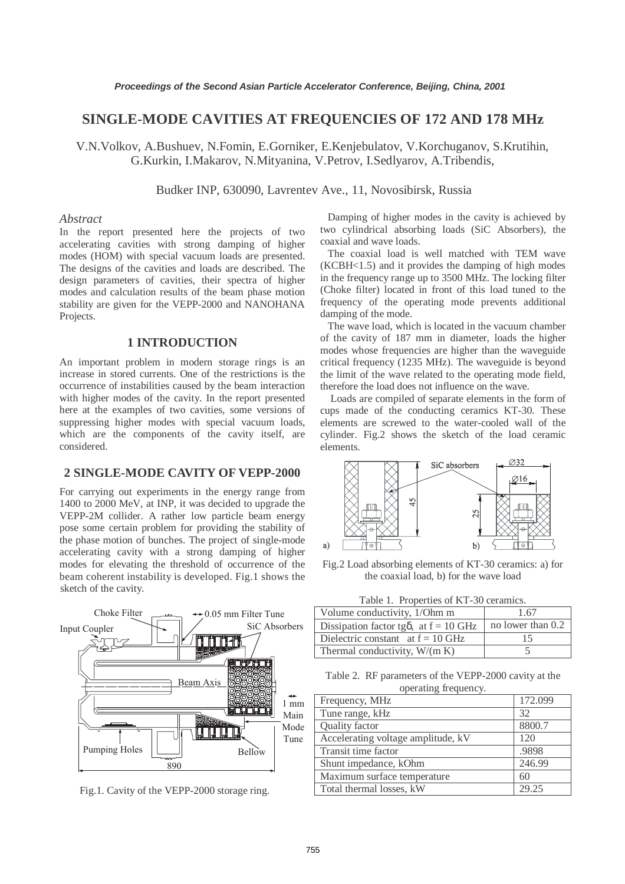# **SINGLE-MODE CAVITIES AT FREQUENCIES OF 172 AND 178 MHz**

V.N.Volkov, A.Bushuev, N.Fomin, E.Gorniker, E.Kenjebulatov, V.Korchuganov, S.Krutihin, G.Kurkin, I.Makarov, N.Mityanina, V.Petrov, I.Sedlyarov, A.Tribendis,

Budker INP, 630090, Lavrentev Ave., 11, Novosibirsk, Russia

### *Abstract*

In the report presented here the projects of two accelerating cavities with strong damping of higher modes (HOM) with special vacuum loads are presented. The designs of the cavities and loads are described. The design parameters of cavities, their spectra of higher modes and calculation results of the beam phase motion stability are given for the VEPP-2000 and NANOHANA Projects.

### **1 INTRODUCTION**

An important problem in modern storage rings is an increase in stored currents. One of the restrictions is the occurrence of instabilities caused by the beam interaction with higher modes of the cavity. In the report presented here at the examples of two cavities, some versions of suppressing higher modes with special vacuum loads, which are the components of the cavity itself, are considered.

## **2 SINGLE-MODE CAVITY OF VEPP-2000**

For carrying out experiments in the energy range from 1400 to 2000 MeV, at INP, it was decided to upgrade the VEPP-2M collider. A rather low particle beam energy pose some certain problem for providing the stability of the phase motion of bunches. The project of single-mode accelerating cavity with a strong damping of higher modes for elevating the threshold of occurrence of the beam coherent instability is developed. Fig.1 shows the sketch of the cavity.



Fig.1. Cavity of the VEPP-2000 storage ring.

 Damping of higher modes in the cavity is achieved by two cylindrical absorbing loads (SiC Absorbers), the coaxial and wave loads.

 The coaxial load is well matched with TEM wave  $(KCBH<1.5)$  and it provides the damping of high modes in the frequency range up to 3500 MHz. The locking filter (Choke filter) located in front of this load tuned to the frequency of the operating mode prevents additional damping of the mode.

 The wave load, which is located in the vacuum chamber of the cavity of 187 mm in diameter, loads the higher modes whose frequencies are higher than the waveguide critical frequency (1235 MHz). The waveguide is beyond the limit of the wave related to the operating mode field, therefore the load does not influence on the wave.

 Loads are compiled of separate elements in the form of cups made of the conducting ceramics KT-30. These elements are screwed to the water-cooled wall of the cylinder. Fig.2 shows the sketch of the load ceramic elements.



Fig.2 Load absorbing elements of KT-30 ceramics: a) for the coaxial load, b) for the wave load

| Table 1. Properties of KT-30 ceramics.         |                   |  |  |  |
|------------------------------------------------|-------------------|--|--|--|
| Volume conductivity, 1/Ohm m                   | 1.67              |  |  |  |
| Dissipation factor tg $\delta$ , at f = 10 GHz | no lower than 0.2 |  |  |  |
| Dielectric constant at $f = 10$ GHz            | 15                |  |  |  |
| Thermal conductivity, $W/(m K)$                |                   |  |  |  |

Table 2. RF parameters of the VEPP-2000 cavity at the operating frequency.

| Frequency, MHz                     | 172.099 |
|------------------------------------|---------|
| Tune range, kHz                    | 32      |
| Quality factor                     | 8800.7  |
| Accelerating voltage amplitude, kV | 120     |
| Transit time factor                | .9898   |
| Shunt impedance, kOhm              | 246.99  |
| Maximum surface temperature        | 60      |
| Total thermal losses, kW           | 29.25   |